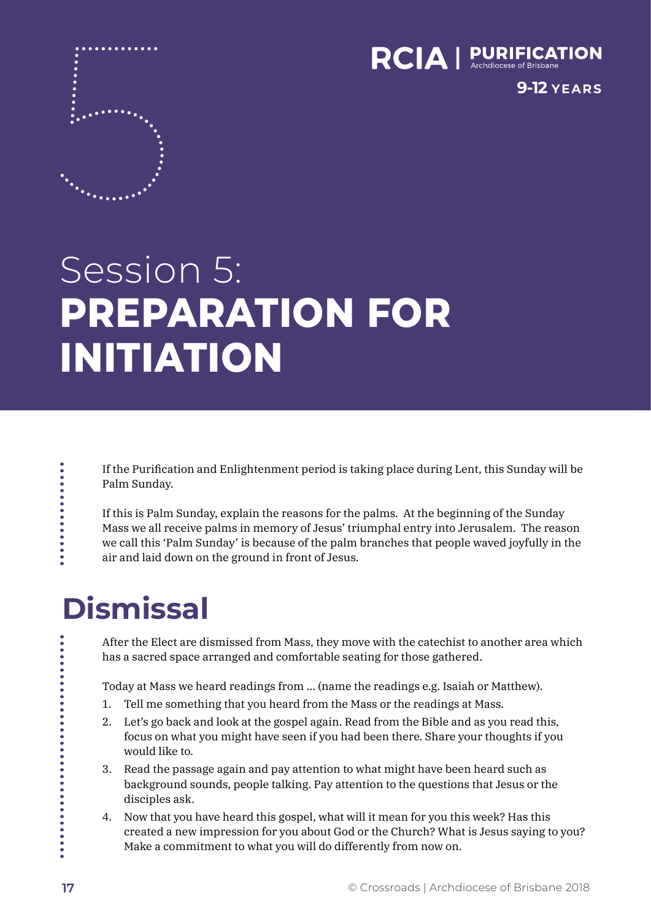

**9-12 YEARS**

# Session 5: **PREPARATION FOR INITIATION**

If the Purification and Enlightenment period is taking place during Lent, this Sunday will be Palm Sunday.

If this is Palm Sunday, explain the reasons for the palms. At the beginning of the Sunday Mass we all receive palms in memory of Jesus' triumphal entry into Jerusalem. The reason we call this 'Palm Sunday' is because of the palm branches that people waved joyfully in the air and laid down on the ground in front of Jesus.

## **Dismissal**

**.......** 

After the Elect are dismissed from Mass, they move with the catechist to another area which has a sacred space arranged and comfortable seating for those gathered.

Today at Mass we heard readings from … (name the readings e.g. Isaiah or Matthew).

- 1. Tell me something that you heard from the Mass or the readings at Mass.
- 2. Let's go back and look at the gospel again. Read from the Bible and as you read this, focus on what you might have seen if you had been there. Share your thoughts if you would like to.
- 3. Read the passage again and pay attention to what might have been heard such as background sounds, people talking. Pay attention to the questions that Jesus or the disciples ask.
- 4. Now that you have heard this gospel, what will it mean for you this week? Has this created a new impression for you about God or the Church? What is Jesus saying to you? Make a commitment to what you will do differently from now on.